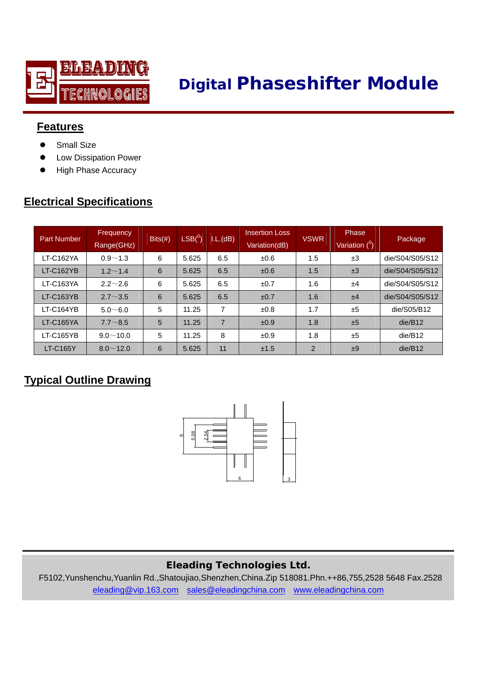

# **Digital Phaseshifter Module**

## **Features**

- Small Size
- Low Dissipation Power
- **•** High Phase Accuracy

## **Electrical Specifications**

| <b>Part Number</b> | Frequency<br>Range(GHz) | $Bits(\#)$ | $\mathsf{LSB}({}^0)$ | L(L(dB))       | <b>Insertion Loss</b><br>Variation(dB) | <b>VSWR</b>    | Phase<br>Variation ( <sup>0</sup> ) | Package         |
|--------------------|-------------------------|------------|----------------------|----------------|----------------------------------------|----------------|-------------------------------------|-----------------|
| LT-C162YA          | $0.9 - 1.3$             | 6          | 5.625                | 6.5            | $\pm 0.6$                              | 1.5            | ±3                                  | die/S04/S05/S12 |
| LT-C162YB          | $1.2 \sim 1.4$          | 6          | 5.625                | 6.5            | ±0.6                                   | 1.5            | ±3                                  | die/S04/S05/S12 |
| LT-C163YA          | $2.2 \sim 2.6$          | 6          | 5.625                | 6.5            | ±0.7                                   | 1.6            | ±4                                  | die/S04/S05/S12 |
| LT-C163YB          | $2.7 \sim 3.5$          | 6          | 5.625                | 6.5            | ±0.7                                   | 1.6            | ±4                                  | die/S04/S05/S12 |
| LT-C164YB          | $5.0 - 6.0$             | 5          | 11.25                | 7              | ±0.8                                   | 1.7            | ±5                                  | die/S05/B12     |
| <b>LT-C165YA</b>   | $7.7 - 8.5$             | 5          | 11.25                | $\overline{7}$ | ±0.9                                   | 1.8            | ±5                                  | die/B12         |
| LT-C165YB          | $9.0 \sim 10.0$         | 5          | 11.25                | 8              | ±0.9                                   | 1.8            | ±5                                  | die/B12         |
| <b>LT-C165Y</b>    | $8.0 \sim 12.0$         | 6          | 5.625                | 11             | ±1.5                                   | $\overline{2}$ | ±9                                  | die/B12         |

## **Typical Outline Drawing**



### **Eleading Technologies Ltd.**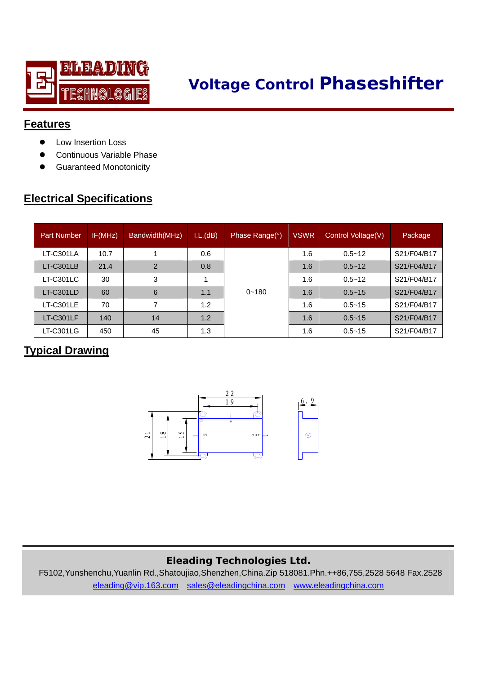

# **Voltage Control Phaseshifter**

## **Features**

- Low Insertion Loss
- Continuous Variable Phase
- **Guaranteed Monotonicity**

## **Electrical Specifications**

| <b>Part Number</b> | IF(MHz) | Bandwidth(MHz) | L(L(dB)) | Phase Range(°) | VSWR | Control Voltage(V) | Package     |
|--------------------|---------|----------------|----------|----------------|------|--------------------|-------------|
| LT-C301LA          | 10.7    |                | 0.6      |                | 1.6  | $0.5 - 12$         | S21/F04/B17 |
| <b>LT-C301LB</b>   | 21.4    | $\mathcal{P}$  | 0.8      |                | 1.6  | $0.5 - 12$         | S21/F04/B17 |
| LT-C301LC          | 30      | 3              |          |                | 1.6  | $0.5 - 12$         | S21/F04/B17 |
| LT-C301LD          | 60      | 6              | 1.1      | $0 - 180$      | 1.6  | $0.5 - 15$         | S21/F04/B17 |
| <b>LT-C301LE</b>   | 70      |                | 1.2      |                | 1.6  | $0.5 - 15$         | S21/F04/B17 |
| LT-C301LF          | 140     | 14             | 1.2      |                | 1.6  | $0.5 - 15$         | S21/F04/B17 |
| LT-C301LG          | 450     | 45             | 1.3      |                | 1.6  | $0.5 - 15$         | S21/F04/B17 |

## **Typical Drawing**



### **Eleading Technologies Ltd.**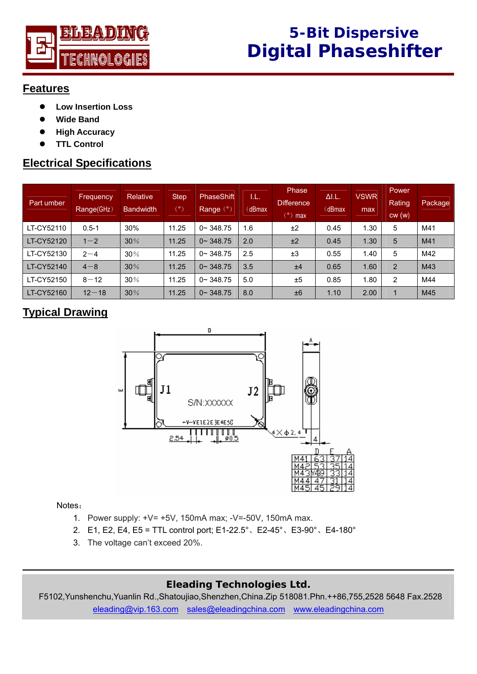

## **Features**

- $\bullet$  Low Insertion Loss
- **Wide Band**
- **High Accuracy**
- z **TTL Control**

## **Electrical Specifications**

| Part umber | Frequency<br>Range(GHz) | Relative<br><b>Bandwidth</b> | <b>Step</b><br>$(\degree)$ | PhaseShift<br>Range (°) | I.L.<br>(dBmax | <b>Phase</b><br><b>Difference</b><br>$\sqrt{2}$ max | $\Delta I.L.$<br>(dBmax | <b>VSWR</b><br>max | <b>Power</b><br><b>Rating</b><br>cw(w) | Package |
|------------|-------------------------|------------------------------|----------------------------|-------------------------|----------------|-----------------------------------------------------|-------------------------|--------------------|----------------------------------------|---------|
| LT-CY52110 | $0.5 - 1$               | 30%                          | 11.25                      | $0 - 348.75$            | 1.6            | ±2                                                  | 0.45                    | 1.30               | 5                                      | M41     |
| LT-CY52120 | $1 - 2$                 | 30%                          | 11.25                      | $0 \sim 348.75$         | 2.0            | ±2                                                  | 0.45                    | 1.30               | 5                                      | M41     |
| LT-CY52130 | $2 - 4$                 | 30%                          | 11.25                      | $0 - 348.75$            | 2.5            | ±3                                                  | 0.55                    | 1.40               | 5                                      | M42     |
| LT-CY52140 | $4 - 8$                 | 30%                          | 11.25                      | $0 \sim 348.75$         | 3.5            | ±4                                                  | 0.65                    | 1.60               | 2                                      | M43     |
| LT-CY52150 | $8 - 12$                | 30%                          | 11.25                      | $0 - 348.75$            | 5.0            | ±5                                                  | 0.85                    | 1.80               | 2                                      | M44     |
| LT-CY52160 | $12 - 18$               | 30%                          | 11.25                      | $0 - 348.75$            | 8.0            | ±6                                                  | 1.10                    | 2.00               |                                        | M45     |

## **Typical Drawing**



#### Notes:

- 1. Power supply: +V= +5V, 150mA max; -V=-50V, 150mA max.
- 2. E1, E2, E4, E5 = TTL control port; E1-22.5°、E2-45°、E3-90°、E4-180°
- 3. The voltage can't exceed 20%.

### **Eleading Technologies Ltd.**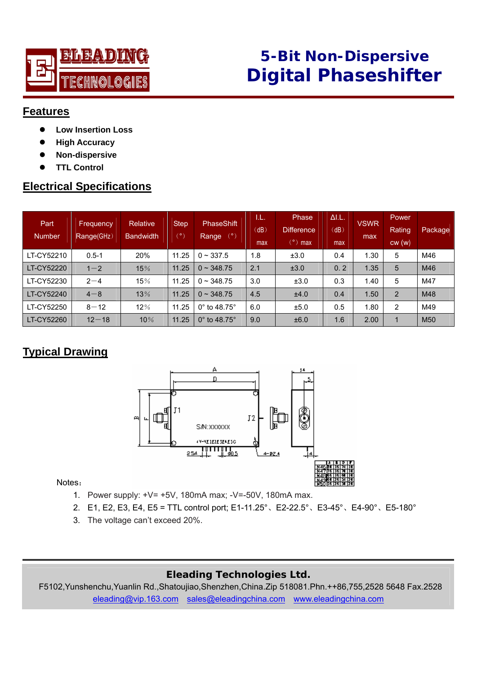

# **5-Bit Non-Dispersive Digital Phaseshifter**

#### **Features**

- $\bullet$  Low Insertion Loss
- **High Accuracy**
- z **Non-dispersive**
- **TTL Control**

## **Electrical Specifications**

| Part<br><b>Number</b> | <b>Frequency</b><br>Range(GHz) | Relative<br><b>Bandwidth</b> | <b>Step</b><br>$(\degree)$ | PhaseShift<br>(°)<br>Range  | T.L.<br>(dB)<br>max | Phase<br><b>Difference</b><br>$(°)$ max | $\Delta I.L.$<br>(dB)<br>max | <b>VSWR</b><br>max | <b>Power</b><br>Rating<br>cw(w) | Package         |
|-----------------------|--------------------------------|------------------------------|----------------------------|-----------------------------|---------------------|-----------------------------------------|------------------------------|--------------------|---------------------------------|-----------------|
| LT-CY52210            | $0.5 - 1$                      | 20%                          | 11.25                      | $0 \sim 337.5$              | 1.8                 | ±3.0                                    | 0.4                          | 1.30               | 5                               | M46             |
| LT-CY52220            | $1 - 2$                        | 15%                          | 11.25                      | $0 \sim 348.75$             | 2.1                 | ±3.0                                    | 0, 2                         | 1.35               | 5                               | M46             |
| LT-CY52230            | $2 - 4$                        | 15%                          | 11.25                      | $0 \sim 348.75$             | 3.0                 | ±3.0                                    | 0.3                          | 1.40               | 5                               | M47             |
| LT-CY52240            | $4 - 8$                        | 13%                          | 11.25                      | $0 \sim 348.75$             | 4.5                 | ±4.0                                    | 0.4                          | 1.50               | $\overline{2}$                  | M48             |
| LT-CY52250            | $8 - 12$                       | 12%                          | 11.25                      | $0^\circ$ to 48.75 $^\circ$ | 6.0                 | ±5.0                                    | 0.5                          | 1.80               | 2                               | M49             |
| LT-CY52260            | $12 - 18$                      | 10%                          | 11.25                      | $0^\circ$ to 48.75 $^\circ$ | 9.0                 | ±6.0                                    | 1.6                          | 2.00               | 1                               | M <sub>50</sub> |

## **Typical Drawing**



#### Notes:

- 1. Power supply: +V= +5V, 180mA max; -V=-50V, 180mA max.
- 2. E1, E2, E3, E4, E5 = TTL control port; E1-11.25°、E2-22.5°、E3-45°、E4-90°、E5-180°
- 3. The voltage can't exceed 20%.

### **Eleading Technologies Ltd.**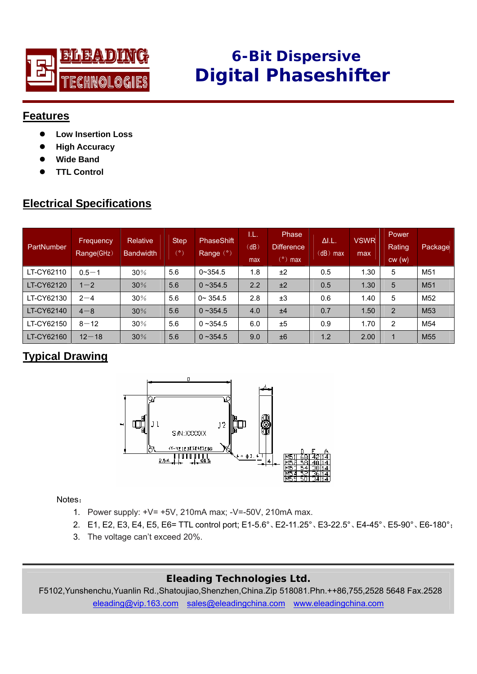

# **6-Bit Dispersive Digital Phaseshifter**

### **Features**

- z **Low Insertion Loss**
- **High Accuracy**
- **Wide Band**
- z **TTL Control**

## **Electrical Specifications**

| PartNumber | Frequency<br>Range(GHz) | Relative<br><b>Bandwidth</b> | <b>Step</b><br>$(\degree)$ | <b>PhaseShift</b><br>Range (°) | I.L.<br>(dB)<br>max | Phase<br><b>Difference</b><br>$(°)$ max | $\Delta I.L.$<br>$(dB)$ max | <b>VSWR</b><br>max | <b>Power</b><br>Rating<br>cw(w) | Package         |
|------------|-------------------------|------------------------------|----------------------------|--------------------------------|---------------------|-----------------------------------------|-----------------------------|--------------------|---------------------------------|-----------------|
| LT-CY62110 | $0.5 - 1$               | 30%                          | 5.6                        | $0 - 354.5$                    | 1.8                 | ±2                                      | 0.5                         | 1.30               | 5                               | M <sub>51</sub> |
| LT-CY62120 | $1 - 2$                 | 30%                          | 5.6                        | $0 - 354.5$                    | 2.2                 | ±2                                      | 0.5                         | 1.30               | 5                               | M <sub>51</sub> |
| LT-CY62130 | $2 - 4$                 | 30%                          | 5.6                        | $0 - 354.5$                    | 2.8                 | ±3                                      | 0.6                         | 1.40               | 5                               | M <sub>52</sub> |
| LT-CY62140 | $4 - 8$                 | 30%                          | 5.6                        | $0 - 354.5$                    | 4.0                 | ±4                                      | 0.7                         | 1.50               | 2                               | M <sub>53</sub> |
| LT-CY62150 | $8 - 12$                | 30%                          | 5.6                        | $0 - 354.5$                    | 6.0                 | ±5                                      | 0.9                         | 1.70               | $\overline{2}$                  | M54             |
| LT-CY62160 | $12 - 18$               | 30%                          | 5.6                        | $0 - 354.5$                    | 9.0                 | ±6                                      | 1.2                         | 2.00               | $\mathbf 1$                     | M <sub>55</sub> |

## **Typical Drawing**



Notes:

- 1. Power supply: +V= +5V, 210mA max; -V=-50V, 210mA max.
- 2. E1, E2, E3, E4, E5, E6= TTL control port; E1-5.6°、E2-11.25°、E3-22.5°、E4-45°、E5-90°、E6-180°;
- 3. The voltage can't exceed 20%.

### **Eleading Technologies Ltd.**